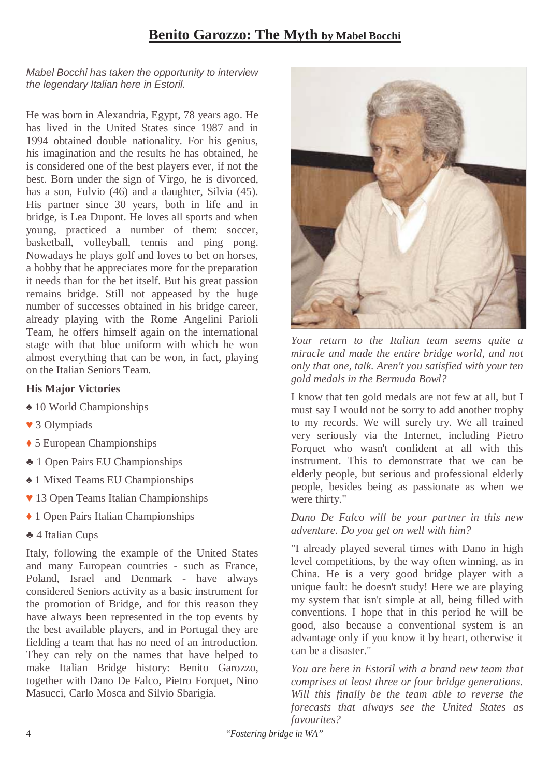# **Benito Garozzo: The Myth by Mabel Bocchi**

#### Mabel Bocchi has taken the opportunity to interview the legendary Italian here in Estoril.

He was born in Alexandria, Egypt, 78 years ago. He has lived in the United States since 1987 and in 1994 obtained double nationality. For his genius, his imagination and the results he has obtained, he is considered one of the best players ever, if not the best. Born under the sign of Virgo, he is divorced, has a son, Fulvio (46) and a daughter, Silvia (45). His partner since 30 years, both in life and in bridge, is Lea Dupont. He loves all sports and when young, practiced a number of them: soccer, basketball, volleyball, tennis and ping pong. Nowadays he plays golf and loves to bet on horses, a hobby that he appreciates more for the preparation it needs than for the bet itself. But his great passion remains bridge. Still not appeased by the huge number of successes obtained in his bridge career, already playing with the Rome Angelini Parioli Team, he offers himself again on the international stage with that blue uniform with which he won almost everything that can be won, in fact, playing on the Italian Seniors Team.

## **His Major Victories**

- ♠ 10 World Championships
- ♥ 3 Olympiads
- ♦ 5 European Championships
- ♣ 1 Open Pairs EU Championships
- ♠ 1 Mixed Teams EU Championships
- ♥ 13 Open Teams Italian Championships
- ♦ 1 Open Pairs Italian Championships
- ♣ 4 Italian Cups

Italy, following the example of the United States and many European countries - such as France, Poland, Israel and Denmark - have always considered Seniors activity as a basic instrument for the promotion of Bridge, and for this reason they have always been represented in the top events by the best available players, and in Portugal they are fielding a team that has no need of an introduction. They can rely on the names that have helped to make Italian Bridge history: Benito Garozzo, together with Dano De Falco, Pietro Forquet, Nino Masucci, Carlo Mosca and Silvio Sbarigia.



*Your return to the Italian team seems quite a miracle and made the entire bridge world, and not only that one, talk. Aren't you satisfied with your ten gold medals in the Bermuda Bowl?* 

I know that ten gold medals are not few at all, but I must say I would not be sorry to add another trophy to my records. We will surely try. We all trained very seriously via the Internet, including Pietro Forquet who wasn't confident at all with this instrument. This to demonstrate that we can be elderly people, but serious and professional elderly people, besides being as passionate as when we were thirty."

#### *Dano De Falco will be your partner in this new adventure. Do you get on well with him?*

"I already played several times with Dano in high level competitions, by the way often winning, as in China. He is a very good bridge player with a unique fault: he doesn't study! Here we are playing my system that isn't simple at all, being filled with conventions. I hope that in this period he will be good, also because a conventional system is an advantage only if you know it by heart, otherwise it can be a disaster."

*You are here in Estoril with a brand new team that comprises at least three or four bridge generations. Will this finally be the team able to reverse the forecasts that always see the United States as favourites?* 

4 "*Fostering bridge in WA"*